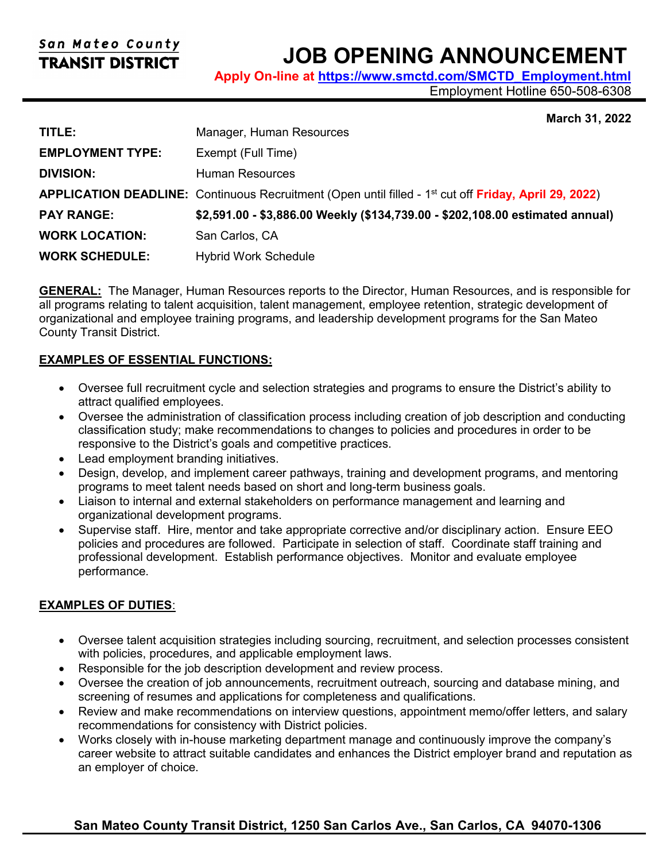# San Mateo County **TRANSIT DISTRICT**

# **JOB OPENING ANNOUNCEMENT**

**Apply On-line at [https://www.smctd.com/SMCTD\\_Employment.html](https://www.smctd.com/SMCTD_Employment.html)**

Employment Hotline 650-508-6308

#### **March 31, 2022**

| TITLE:                  | Manager, Human Resources                                                                                          |
|-------------------------|-------------------------------------------------------------------------------------------------------------------|
| <b>EMPLOYMENT TYPE:</b> | Exempt (Full Time)                                                                                                |
| <b>DIVISION:</b>        | <b>Human Resources</b>                                                                                            |
|                         | APPLICATION DEADLINE: Continuous Recruitment (Open until filled - 1 <sup>st</sup> cut off Friday, April 29, 2022) |
| <b>PAY RANGE:</b>       | \$2,591.00 - \$3,886.00 Weekly (\$134,739.00 - \$202,108.00 estimated annual)                                     |
| <b>WORK LOCATION:</b>   | San Carlos, CA                                                                                                    |
| <b>WORK SCHEDULE:</b>   | <b>Hybrid Work Schedule</b>                                                                                       |

**GENERAL:** The Manager, Human Resources reports to the Director, Human Resources, and is responsible for all programs relating to talent acquisition, talent management, employee retention, strategic development of organizational and employee training programs, and leadership development programs for the San Mateo County Transit District.

#### **EXAMPLES OF ESSENTIAL FUNCTIONS:**

- Oversee full recruitment cycle and selection strategies and programs to ensure the District's ability to attract qualified employees.
- Oversee the administration of classification process including creation of job description and conducting classification study; make recommendations to changes to policies and procedures in order to be responsive to the District's goals and competitive practices.
- Lead employment branding initiatives.
- Design, develop, and implement career pathways, training and development programs, and mentoring programs to meet talent needs based on short and long-term business goals.
- Liaison to internal and external stakeholders on performance management and learning and organizational development programs.
- Supervise staff. Hire, mentor and take appropriate corrective and/or disciplinary action. Ensure EEO policies and procedures are followed. Participate in selection of staff. Coordinate staff training and professional development. Establish performance objectives. Monitor and evaluate employee performance.

# **EXAMPLES OF DUTIES**:

- Oversee talent acquisition strategies including sourcing, recruitment, and selection processes consistent with policies, procedures, and applicable employment laws.
- Responsible for the job description development and review process.
- Oversee the creation of job announcements, recruitment outreach, sourcing and database mining, and screening of resumes and applications for completeness and qualifications.
- Review and make recommendations on interview questions, appointment memo/offer letters, and salary recommendations for consistency with District policies.
- Works closely with in-house marketing department manage and continuously improve the company's career website to attract suitable candidates and enhances the District employer brand and reputation as an employer of choice.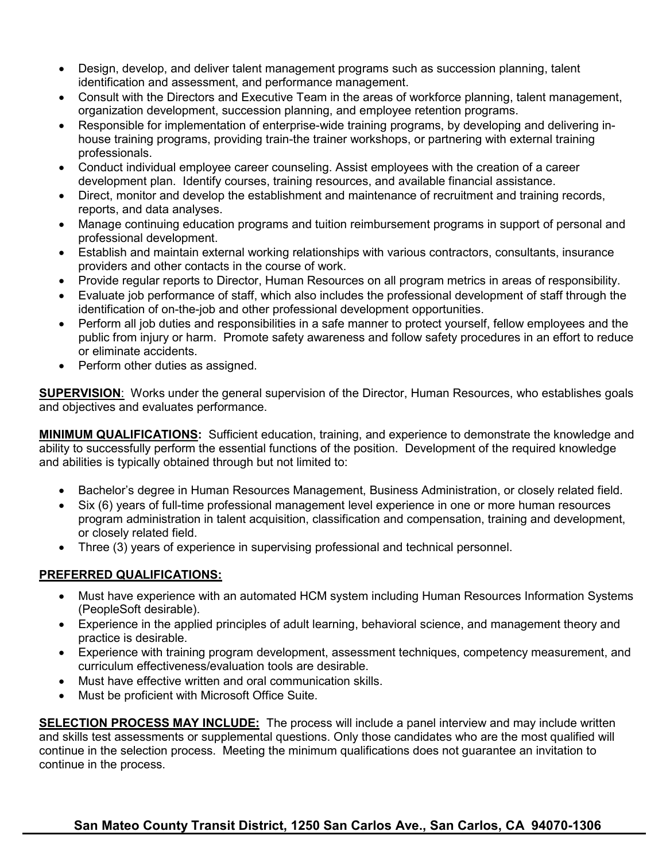- Design, develop, and deliver talent management programs such as succession planning, talent identification and assessment, and performance management.
- Consult with the Directors and Executive Team in the areas of workforce planning, talent management, organization development, succession planning, and employee retention programs.
- Responsible for implementation of enterprise-wide training programs, by developing and delivering inhouse training programs, providing train-the trainer workshops, or partnering with external training professionals.
- Conduct individual employee career counseling. Assist employees with the creation of a career development plan. Identify courses, training resources, and available financial assistance.
- Direct, monitor and develop the establishment and maintenance of recruitment and training records, reports, and data analyses.
- Manage continuing education programs and tuition reimbursement programs in support of personal and professional development.
- Establish and maintain external working relationships with various contractors, consultants, insurance providers and other contacts in the course of work.
- Provide regular reports to Director, Human Resources on all program metrics in areas of responsibility.
- Evaluate job performance of staff, which also includes the professional development of staff through the identification of on-the-job and other professional development opportunities.
- Perform all job duties and responsibilities in a safe manner to protect yourself, fellow employees and the public from injury or harm. Promote safety awareness and follow safety procedures in an effort to reduce or eliminate accidents.
- Perform other duties as assigned.

**SUPERVISION**: Works under the general supervision of the Director, Human Resources, who establishes goals and objectives and evaluates performance.

**MINIMUM QUALIFICATIONS:** Sufficient education, training, and experience to demonstrate the knowledge and ability to successfully perform the essential functions of the position. Development of the required knowledge and abilities is typically obtained through but not limited to:

- Bachelor's degree in Human Resources Management, Business Administration, or closely related field.
- Six (6) years of full-time professional management level experience in one or more human resources program administration in talent acquisition, classification and compensation, training and development, or closely related field.
- Three (3) years of experience in supervising professional and technical personnel.

# **PREFERRED QUALIFICATIONS:**

- Must have experience with an automated HCM system including Human Resources Information Systems (PeopleSoft desirable).
- Experience in the applied principles of adult learning, behavioral science, and management theory and practice is desirable.
- Experience with training program development, assessment techniques, competency measurement, and curriculum effectiveness/evaluation tools are desirable.
- Must have effective written and oral communication skills.
- Must be proficient with Microsoft Office Suite.

**SELECTION PROCESS MAY INCLUDE:** The process will include a panel interview and may include written and skills test assessments or supplemental questions. Only those candidates who are the most qualified will continue in the selection process. Meeting the minimum qualifications does not guarantee an invitation to continue in the process.